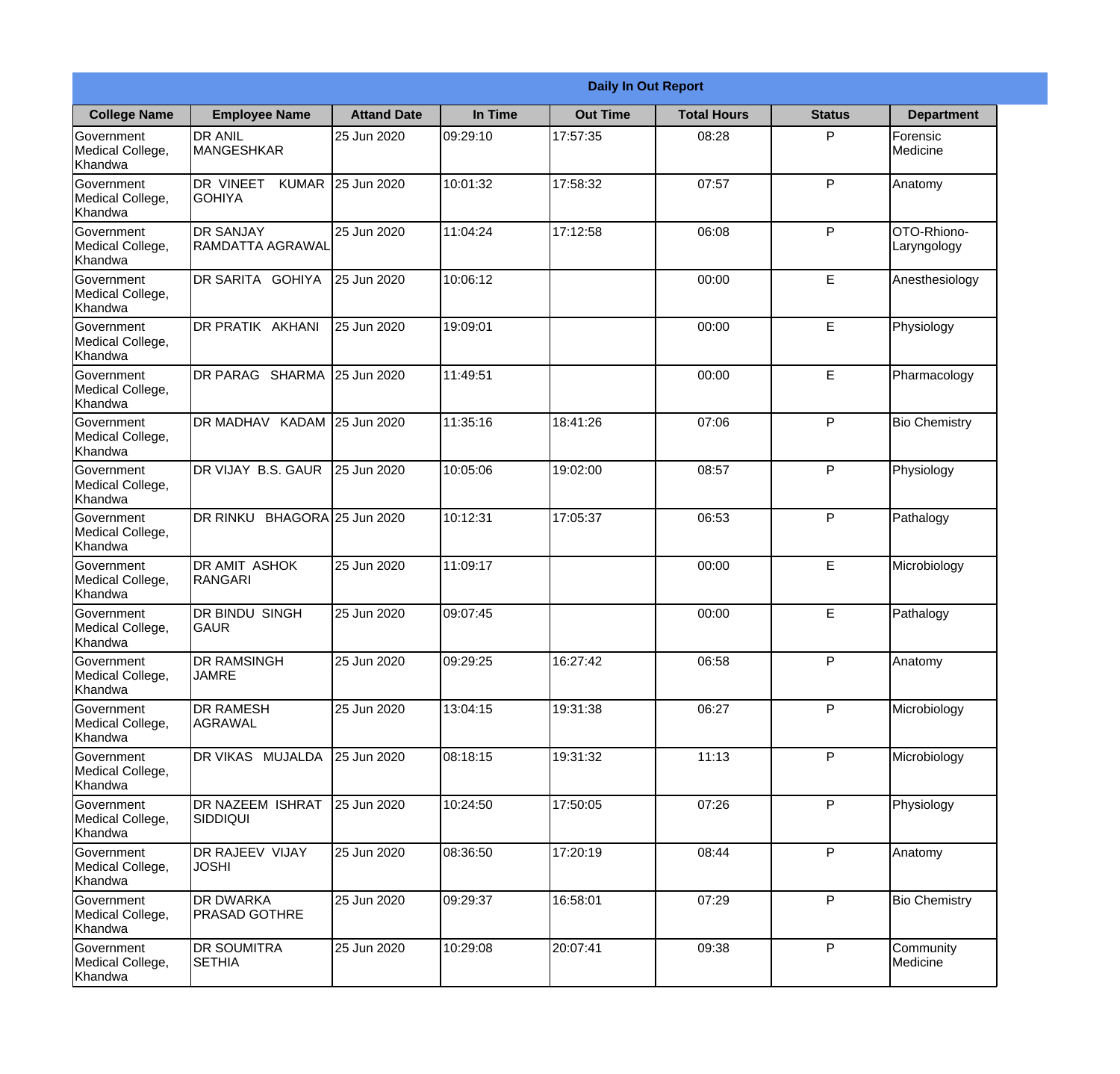|                                                  |                                            |                     |          | <b>Daily In Out Report</b> |                    |               |                            |
|--------------------------------------------------|--------------------------------------------|---------------------|----------|----------------------------|--------------------|---------------|----------------------------|
| <b>College Name</b>                              | <b>Employee Name</b>                       | <b>Attand Date</b>  | In Time  | <b>Out Time</b>            | <b>Total Hours</b> | <b>Status</b> | <b>Department</b>          |
| Government<br>Medical College,<br>Khandwa        | <b>DR ANIL</b><br><b>MANGESHKAR</b>        | 25 Jun 2020         | 09:29:10 | 17:57:35                   | 08:28              | P             | Forensic<br>Medicine       |
| Government<br>Medical College,<br>Khandwa        | DR VINEET<br><b>KUMAR</b><br><b>GOHIYA</b> | 25 Jun 2020         | 10:01:32 | 17:58:32                   | 07:57              | P             | Anatomy                    |
| <b>Government</b><br>Medical College,<br>Khandwa | <b>DR SANJAY</b><br>RAMDATTA AGRAWAL       | 25 Jun 2020         | 11:04:24 | 17:12:58                   | 06:08              | P             | OTO-Rhiono-<br>Laryngology |
| Government<br>Medical College,<br>Khandwa        | DR SARITA GOHIYA                           | 25 Jun 2020         | 10:06:12 |                            | 00:00              | E             | Anesthesiology             |
| Government<br>Medical College,<br>Khandwa        | <b>DR PRATIK AKHANI</b>                    | 25 Jun 2020         | 19:09:01 |                            | 00:00              | E             | Physiology                 |
| Government<br>Medical College,<br>Khandwa        | DR PARAG SHARMA                            | 25 Jun 2020         | 11:49:51 |                            | 00:00              | E             | Pharmacology               |
| Government<br>Medical College,<br>Khandwa        | DR MADHAV KADAM 25 Jun 2020                |                     | 11:35:16 | 18:41:26                   | 07:06              | P             | <b>Bio Chemistry</b>       |
| Government<br>Medical College,<br>Khandwa        | DR VIJAY B.S. GAUR                         | 25 Jun 2020         | 10:05:06 | 19:02:00                   | 08:57              | P             | Physiology                 |
| Government<br>Medical College,<br>Khandwa        | DR RINKU                                   | BHAGORA 25 Jun 2020 | 10:12:31 | 17:05:37                   | 06:53              | P             | Pathalogy                  |
| Government<br>Medical College,<br>Khandwa        | <b>DR AMIT ASHOK</b><br>RANGARI            | 25 Jun 2020         | 11:09:17 |                            | 00:00              | E             | Microbiology               |
| Government<br>Medical College,<br>Khandwa        | <b>IDR BINDU SINGH</b><br> GAUR            | 25 Jun 2020         | 09:07:45 |                            | 00:00              | E             | Pathalogy                  |
| Government<br>Medical College,<br>Khandwa        | <b>DR RAMSINGH</b><br><b>JAMRE</b>         | 25 Jun 2020         | 09:29:25 | 16:27:42                   | 06:58              | P             | Anatomy                    |
| Government<br>Medical College,<br>Khandwa        | <b>DR RAMESH</b><br>AGRAWAL                | 25 Jun 2020         | 13:04:15 | 19:31:38                   | 06:27              | P             | Microbiology               |
| Government<br>Medical College,<br>Khandwa        | DR VIKAS MUJALDA                           | 25 Jun 2020         | 08:18:15 | 19:31:32                   | 11:13              | P             | Microbiology               |
| Government<br>Medical College,<br>Khandwa        | DR NAZEEM ISHRAT<br>SIDDIQUI               | 25 Jun 2020         | 10:24:50 | 17:50:05                   | 07:26              | $\mathsf{P}$  | Physiology                 |
| Government<br>Medical College,<br>Khandwa        | <b>DR RAJEEV VIJAY</b><br><b>JOSHI</b>     | 25 Jun 2020         | 08:36:50 | 17:20:19                   | 08:44              | P             | Anatomy                    |
| Government<br>Medical College,<br>Khandwa        | <b>DR DWARKA</b><br><b>PRASAD GOTHRE</b>   | 25 Jun 2020         | 09:29:37 | 16:58:01                   | 07:29              | P             | <b>Bio Chemistry</b>       |
| Government<br>Medical College,<br>Khandwa        | <b>DR SOUMITRA</b><br><b>SETHIA</b>        | 25 Jun 2020         | 10:29:08 | 20:07:41                   | 09:38              | P             | Community<br>Medicine      |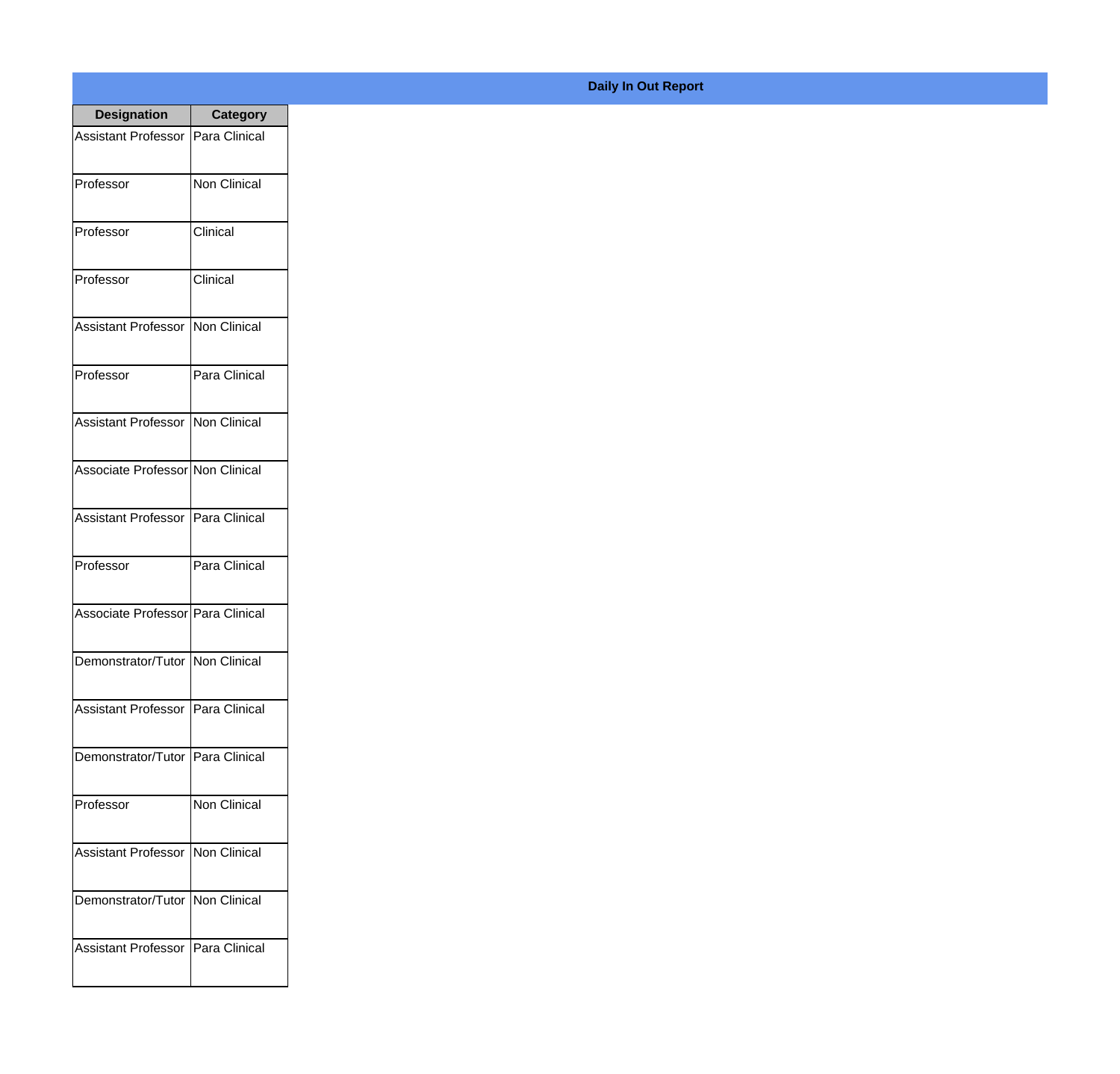| <b>Designation</b>                  | <b>Category</b>     |
|-------------------------------------|---------------------|
| Assistant Professor                 | Para Clinical       |
| Professor                           | Non Clinical        |
| Professor                           | Clinical            |
| Professor                           | Clinical            |
| <b>Assistant Professor</b>          | Non Clinical        |
| Professor                           | Para Clinical       |
| Assistant Professor   Non Clinical  |                     |
| Associate Professor Non Clinical    |                     |
| Assistant Professor   Para Clinical |                     |
| Professor                           | Para Clinical       |
| Associate Professor Para Clinical   |                     |
| Demonstrator/Tutor   Non Clinical   |                     |
| Assistant Professor   Para Clinical |                     |
| Demonstrator/Tutor   Para Clinical  |                     |
| Professor                           | <b>Non Clinical</b> |
| <b>Assistant Professor</b>          | Non Clinical        |
| Demonstrator/Tutor   Non Clinical   |                     |
| Assistant Professor   Para Clinical |                     |

## **Daily In Out Report**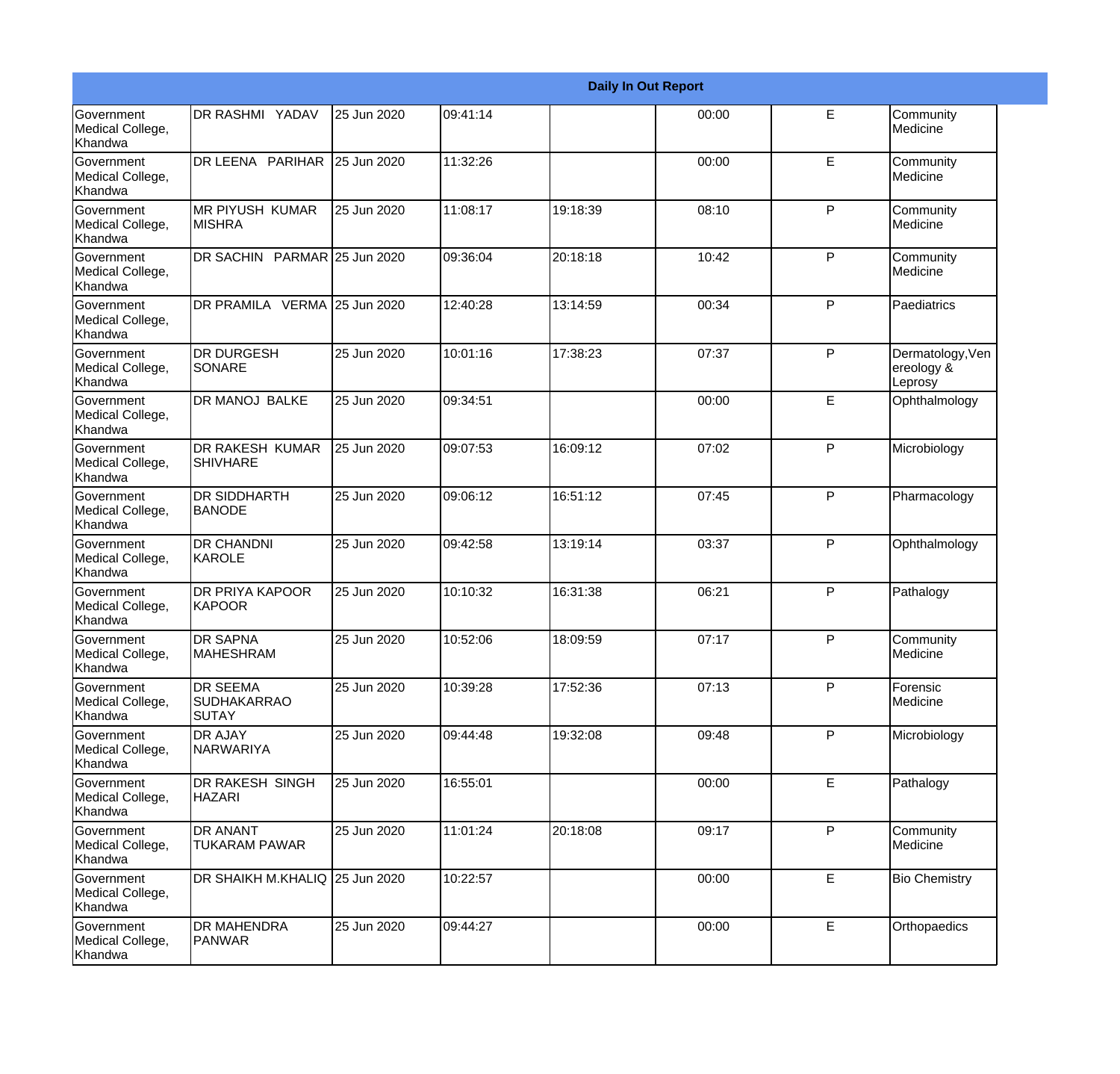|                                                  |                                                       |             |          |          | <b>Daily In Out Report</b> |              |                                           |
|--------------------------------------------------|-------------------------------------------------------|-------------|----------|----------|----------------------------|--------------|-------------------------------------------|
| Government<br>Medical College,<br>Khandwa        | DR RASHMI YADAV                                       | 25 Jun 2020 | 09:41:14 |          | 00:00                      | E            | Community<br>Medicine                     |
| <b>Government</b><br>Medical College,<br>Khandwa | DR LEENA PARIHAR                                      | 25 Jun 2020 | 11:32:26 |          | 00:00                      | E            | Community<br>Medicine                     |
| <b>Government</b><br>Medical College,<br>Khandwa | <b>MR PIYUSH KUMAR</b><br><b>MISHRA</b>               | 25 Jun 2020 | 11:08:17 | 19:18:39 | 08:10                      | P            | Community<br>Medicine                     |
| <b>Government</b><br>Medical College,<br>Khandwa | DR SACHIN PARMAR 25 Jun 2020                          |             | 09:36:04 | 20:18:18 | 10:42                      | P            | Community<br>Medicine                     |
| Government<br>Medical College,<br>Khandwa        | DR PRAMILA VERMA 25 Jun 2020                          |             | 12:40:28 | 13:14:59 | 00:34                      | P            | Paediatrics                               |
| <b>Government</b><br>Medical College,<br>Khandwa | <b>DR DURGESH</b><br><b>SONARE</b>                    | 25 Jun 2020 | 10:01:16 | 17:38:23 | 07:37                      | $\mathsf{P}$ | Dermatology, Ven<br>ereology &<br>Leprosy |
| Government<br>Medical College,<br>Khandwa        | <b>DR MANOJ BALKE</b>                                 | 25 Jun 2020 | 09:34:51 |          | 00:00                      | E            | Ophthalmology                             |
| Government<br>Medical College,<br>Khandwa        | <b>DR RAKESH KUMAR</b><br><b>SHIVHARE</b>             | 25 Jun 2020 | 09:07:53 | 16:09:12 | 07:02                      | P            | Microbiology                              |
| <b>Government</b><br>Medical College,<br>Khandwa | <b>DR SIDDHARTH</b><br><b>BANODE</b>                  | 25 Jun 2020 | 09:06:12 | 16:51:12 | 07:45                      | $\mathsf{P}$ | Pharmacology                              |
| <b>Government</b><br>Medical College,<br>Khandwa | <b>DR CHANDNI</b><br>KAROLE                           | 25 Jun 2020 | 09:42:58 | 13:19:14 | 03:37                      | P            | Ophthalmology                             |
| Government<br>Medical College,<br>Khandwa        | DR PRIYA KAPOOR<br>KAPOOR                             | 25 Jun 2020 | 10:10:32 | 16:31:38 | 06:21                      | P            | Pathalogy                                 |
| Government<br>Medical College,<br>Khandwa        | <b>DR SAPNA</b><br><b>MAHESHRAM</b>                   | 25 Jun 2020 | 10:52:06 | 18:09:59 | 07:17                      | P            | Community<br>Medicine                     |
| Government<br>Medical College,<br>Khandwa        | <b>DR SEEMA</b><br><b>SUDHAKARRAO</b><br><b>SUTAY</b> | 25 Jun 2020 | 10:39:28 | 17:52:36 | 07:13                      | $\mathsf{P}$ | Forensic<br>Medicine                      |
| Government<br>Medical College,<br>Khandwa        | <b>DR AJAY</b><br>NARWARIYA                           | 25 Jun 2020 | 09:44:48 | 19:32:08 | 09:48                      | P            | Microbiology                              |
| Government<br>Medical College,<br>Khandwa        | DR RAKESH SINGH<br><b>HAZARI</b>                      | 25 Jun 2020 | 16:55:01 |          | 00:00                      | E            | Pathalogy                                 |
| Government<br>Medical College,<br>Khandwa        | <b>DR ANANT</b><br><b>TUKARAM PAWAR</b>               | 25 Jun 2020 | 11:01:24 | 20:18:08 | 09:17                      | P            | Community<br>Medicine                     |
| Government<br>Medical College,<br>Khandwa        | DR SHAIKH M.KHALIQ 25 Jun 2020                        |             | 10:22:57 |          | 00:00                      | E            | <b>Bio Chemistry</b>                      |
| Government<br>Medical College,<br>Khandwa        | <b>DR MAHENDRA</b><br><b>PANWAR</b>                   | 25 Jun 2020 | 09:44:27 |          | 00:00                      | E            | Orthopaedics                              |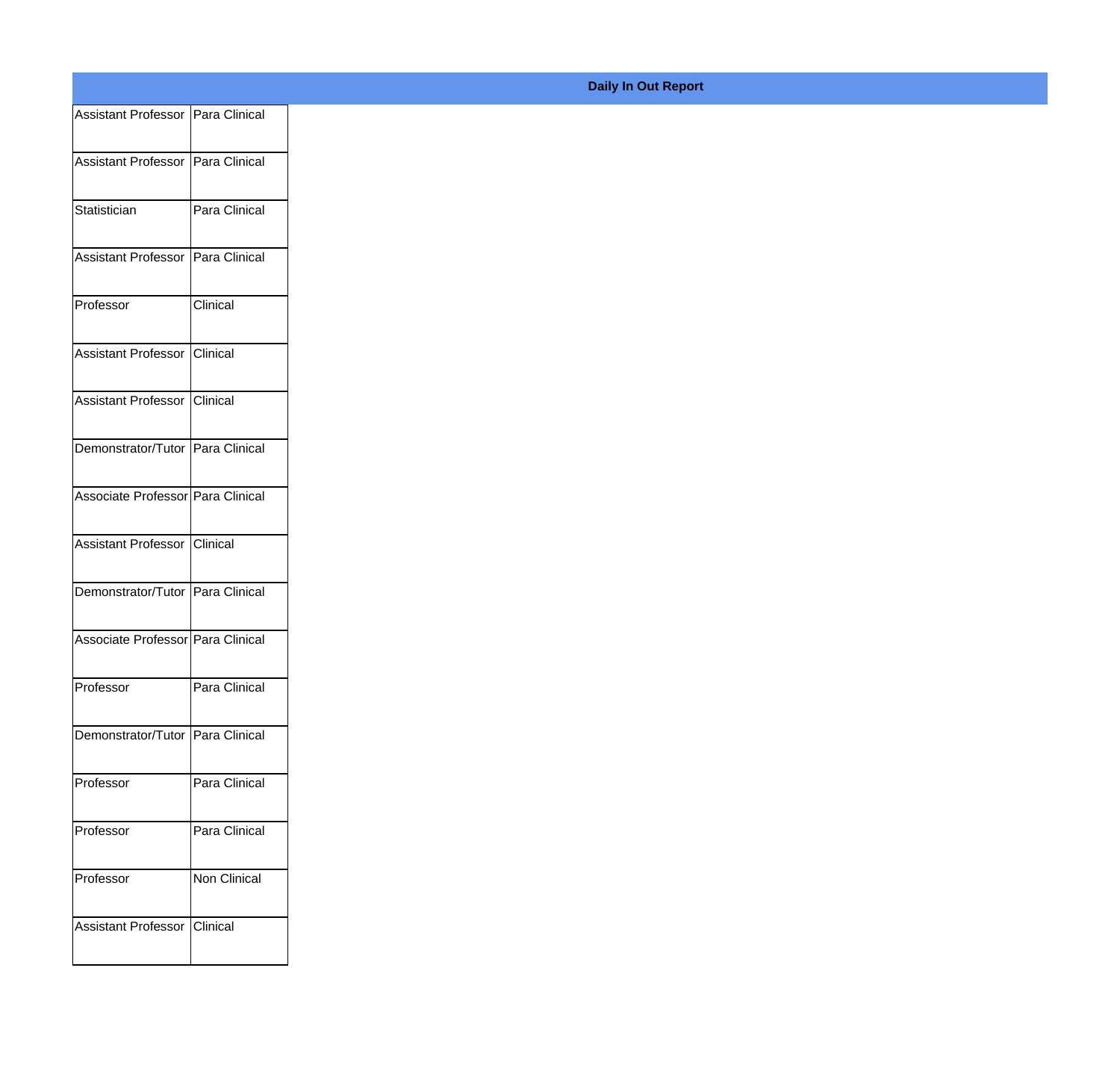| Assistant Professor Para Clinical |                 |
|-----------------------------------|-----------------|
| Assistant Professor Para Clinical |                 |
|                                   |                 |
| Statistician                      | Para Clinical   |
| Assistant Professor Para Clinical |                 |
| Professor                         | Clinical        |
|                                   |                 |
| Assistant Professor Clinical      |                 |
| Assistant Professor Clinical      |                 |
| Demonstrator/Tutor Para Clinical  |                 |
| Associate Professor Para Clinical |                 |
|                                   |                 |
| Assistant Professor Clinical      |                 |
| Demonstrator/Tutor Para Clinical  |                 |
| Associate Professor Para Clinical |                 |
| Professor                         | Para Clinical   |
|                                   |                 |
| Demonstrator/Tutor Para Clinical  |                 |
| Professor                         | Para Clinical   |
| Professor                         | Para Clinical   |
| Professor                         | Non Clinical    |
|                                   |                 |
| Assistant Professor               | <b>Clinical</b> |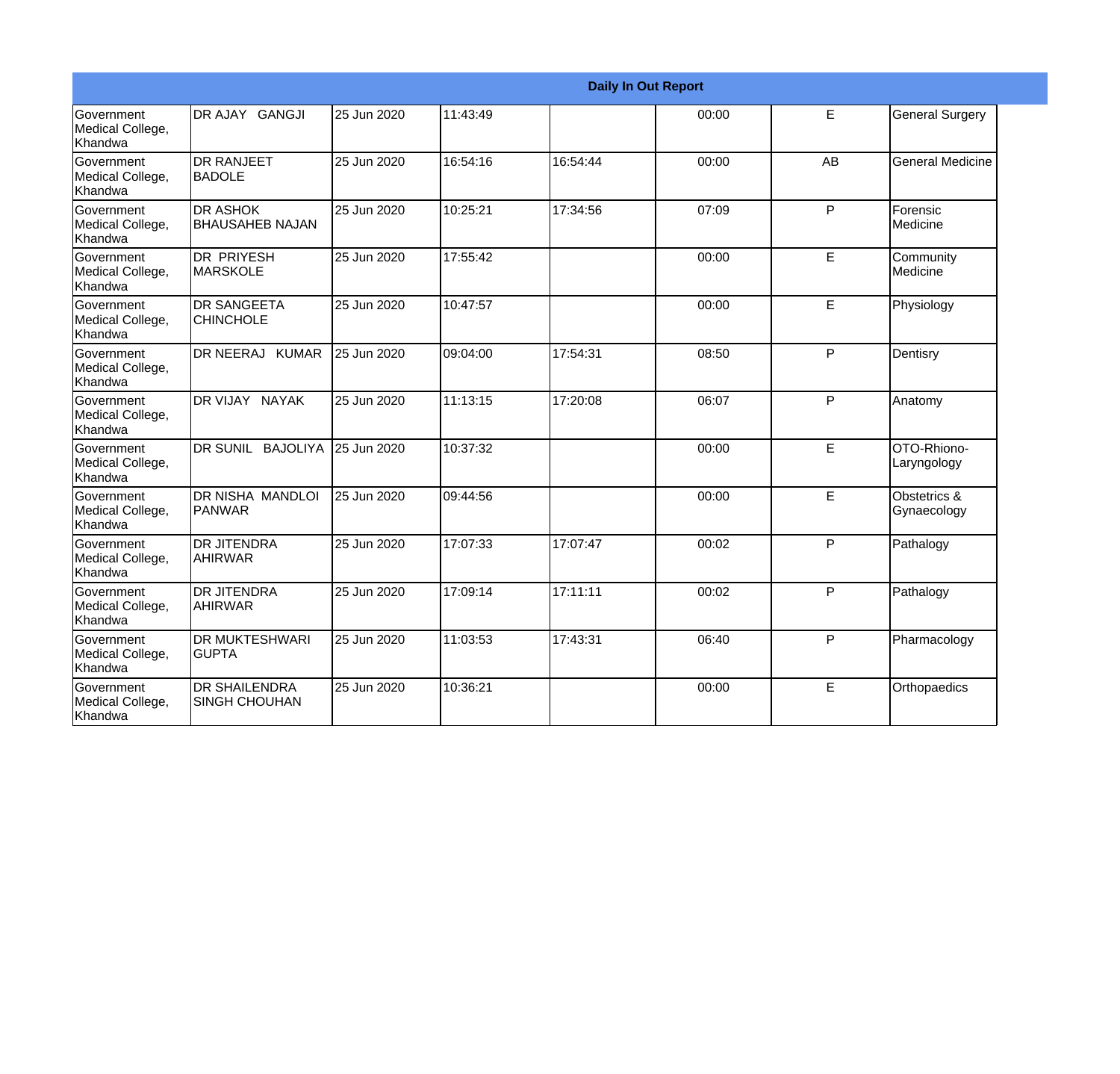|                                                  |                                              |             |          |          | <b>Daily In Out Report</b> |    |                             |
|--------------------------------------------------|----------------------------------------------|-------------|----------|----------|----------------------------|----|-----------------------------|
| <b>Government</b><br>Medical College,<br>Khandwa | DR AJAY GANGJI                               | 25 Jun 2020 | 11:43:49 |          | 00:00                      | E  | <b>General Surgery</b>      |
| Government<br>Medical College,<br>Khandwa        | <b>DR RANJEET</b><br><b>BADOLE</b>           | 25 Jun 2020 | 16:54:16 | 16:54:44 | 00:00                      | AB | <b>General Medicine</b>     |
| Government<br>Medical College,<br>Khandwa        | <b>DR ASHOK</b><br><b>BHAUSAHEB NAJAN</b>    | 25 Jun 2020 | 10:25:21 | 17:34:56 | 07:09                      | P  | Forensic<br>Medicine        |
| <b>Government</b><br>Medical College,<br>Khandwa | <b>DR PRIYESH</b><br><b>MARSKOLE</b>         | 25 Jun 2020 | 17:55:42 |          | 00:00                      | E  | Community<br>Medicine       |
| Government<br>Medical College,<br>Khandwa        | <b>DR SANGEETA</b><br><b>CHINCHOLE</b>       | 25 Jun 2020 | 10:47:57 |          | 00:00                      | E  | Physiology                  |
| Government<br>Medical College,<br>Khandwa        | DR NEERAJ KUMAR                              | 25 Jun 2020 | 09:04:00 | 17:54:31 | 08:50                      | P  | Dentisry                    |
| Government<br>Medical College,<br>Khandwa        | DR VIJAY NAYAK                               | 25 Jun 2020 | 11:13:15 | 17:20:08 | 06:07                      | P  | Anatomy                     |
| Government<br>Medical College,<br>Khandwa        | DR SUNIL BAJOLIYA                            | 25 Jun 2020 | 10:37:32 |          | 00:00                      | E  | OTO-Rhiono-<br>Laryngology  |
| Government<br>Medical College,<br>Khandwa        | <b>DR NISHA MANDLOI</b><br><b>PANWAR</b>     | 25 Jun 2020 | 09:44:56 |          | 00:00                      | E  | Obstetrics &<br>Gynaecology |
| Government<br>Medical College,<br>Khandwa        | DR JITENDRA<br><b>AHIRWAR</b>                | 25 Jun 2020 | 17:07:33 | 17:07:47 | 00:02                      | P  | Pathalogy                   |
| <b>Government</b><br>Medical College,<br>Khandwa | <b>DR JITENDRA</b><br><b>AHIRWAR</b>         | 25 Jun 2020 | 17:09:14 | 17:11:11 | 00:02                      | P  | Pathalogy                   |
| <b>Government</b><br>Medical College,<br>Khandwa | <b>DR MUKTESHWARI</b><br>IGUPTA              | 25 Jun 2020 | 11:03:53 | 17:43:31 | 06:40                      | P  | Pharmacology                |
| Government<br>Medical College,<br>Khandwa        | <b>DR SHAILENDRA</b><br><b>SINGH CHOUHAN</b> | 25 Jun 2020 | 10:36:21 |          | 00:00                      | E  | Orthopaedics                |